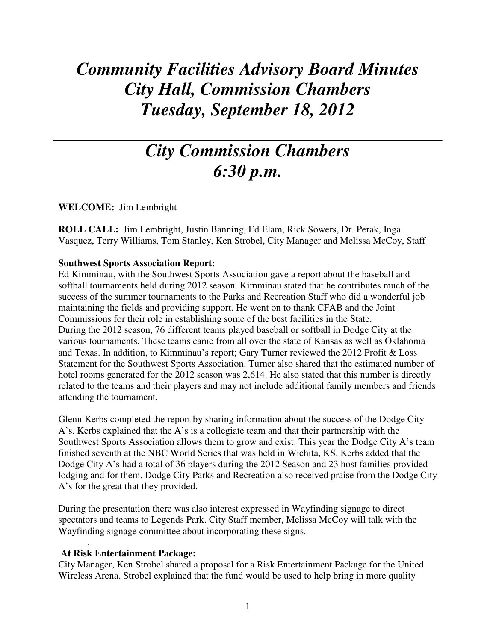# *Community Facilities Advisory Board Minutes City Hall, Commission Chambers Tuesday, September 18, 2012*

# *City Commission Chambers 6:30 p.m.*

**WELCOME:** Jim Lembright

**ROLL CALL:** Jim Lembright, Justin Banning, Ed Elam, Rick Sowers, Dr. Perak, Inga Vasquez, Terry Williams, Tom Stanley, Ken Strobel, City Manager and Melissa McCoy, Staff

#### **Southwest Sports Association Report:**

Ed Kimminau, with the Southwest Sports Association gave a report about the baseball and softball tournaments held during 2012 season. Kimminau stated that he contributes much of the success of the summer tournaments to the Parks and Recreation Staff who did a wonderful job maintaining the fields and providing support. He went on to thank CFAB and the Joint Commissions for their role in establishing some of the best facilities in the State. During the 2012 season, 76 different teams played baseball or softball in Dodge City at the various tournaments. These teams came from all over the state of Kansas as well as Oklahoma and Texas. In addition, to Kimminau's report; Gary Turner reviewed the 2012 Profit & Loss Statement for the Southwest Sports Association. Turner also shared that the estimated number of hotel rooms generated for the 2012 season was 2,614. He also stated that this number is directly related to the teams and their players and may not include additional family members and friends attending the tournament.

Glenn Kerbs completed the report by sharing information about the success of the Dodge City A's. Kerbs explained that the A's is a collegiate team and that their partnership with the Southwest Sports Association allows them to grow and exist. This year the Dodge City A's team finished seventh at the NBC World Series that was held in Wichita, KS. Kerbs added that the Dodge City A's had a total of 36 players during the 2012 Season and 23 host families provided lodging and for them. Dodge City Parks and Recreation also received praise from the Dodge City A's for the great that they provided.

During the presentation there was also interest expressed in Wayfinding signage to direct spectators and teams to Legends Park. City Staff member, Melissa McCoy will talk with the Wayfinding signage committee about incorporating these signs.

#### **At Risk Entertainment Package:**

.

City Manager, Ken Strobel shared a proposal for a Risk Entertainment Package for the United Wireless Arena. Strobel explained that the fund would be used to help bring in more quality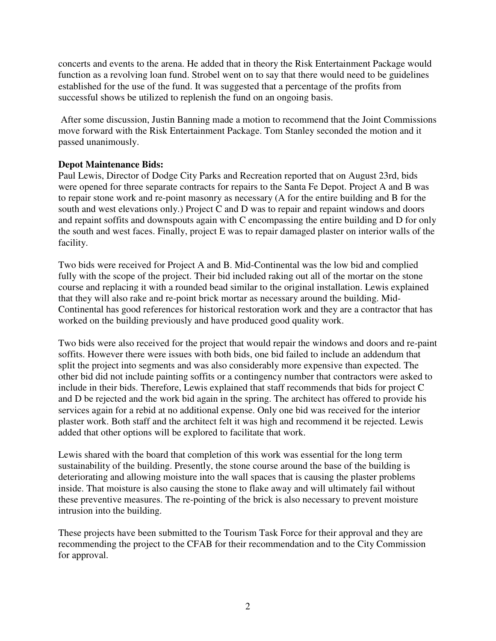concerts and events to the arena. He added that in theory the Risk Entertainment Package would function as a revolving loan fund. Strobel went on to say that there would need to be guidelines established for the use of the fund. It was suggested that a percentage of the profits from successful shows be utilized to replenish the fund on an ongoing basis.

 After some discussion, Justin Banning made a motion to recommend that the Joint Commissions move forward with the Risk Entertainment Package. Tom Stanley seconded the motion and it passed unanimously.

## **Depot Maintenance Bids:**

Paul Lewis, Director of Dodge City Parks and Recreation reported that on August 23rd, bids were opened for three separate contracts for repairs to the Santa Fe Depot. Project A and B was to repair stone work and re-point masonry as necessary (A for the entire building and B for the south and west elevations only.) Project C and D was to repair and repaint windows and doors and repaint soffits and downspouts again with C encompassing the entire building and D for only the south and west faces. Finally, project E was to repair damaged plaster on interior walls of the facility.

Two bids were received for Project A and B. Mid-Continental was the low bid and complied fully with the scope of the project. Their bid included raking out all of the mortar on the stone course and replacing it with a rounded bead similar to the original installation. Lewis explained that they will also rake and re-point brick mortar as necessary around the building. Mid-Continental has good references for historical restoration work and they are a contractor that has worked on the building previously and have produced good quality work.

Two bids were also received for the project that would repair the windows and doors and re-paint soffits. However there were issues with both bids, one bid failed to include an addendum that split the project into segments and was also considerably more expensive than expected. The other bid did not include painting soffits or a contingency number that contractors were asked to include in their bids. Therefore, Lewis explained that staff recommends that bids for project C and D be rejected and the work bid again in the spring. The architect has offered to provide his services again for a rebid at no additional expense. Only one bid was received for the interior plaster work. Both staff and the architect felt it was high and recommend it be rejected. Lewis added that other options will be explored to facilitate that work.

Lewis shared with the board that completion of this work was essential for the long term sustainability of the building. Presently, the stone course around the base of the building is deteriorating and allowing moisture into the wall spaces that is causing the plaster problems inside. That moisture is also causing the stone to flake away and will ultimately fail without these preventive measures. The re-pointing of the brick is also necessary to prevent moisture intrusion into the building.

These projects have been submitted to the Tourism Task Force for their approval and they are recommending the project to the CFAB for their recommendation and to the City Commission for approval.